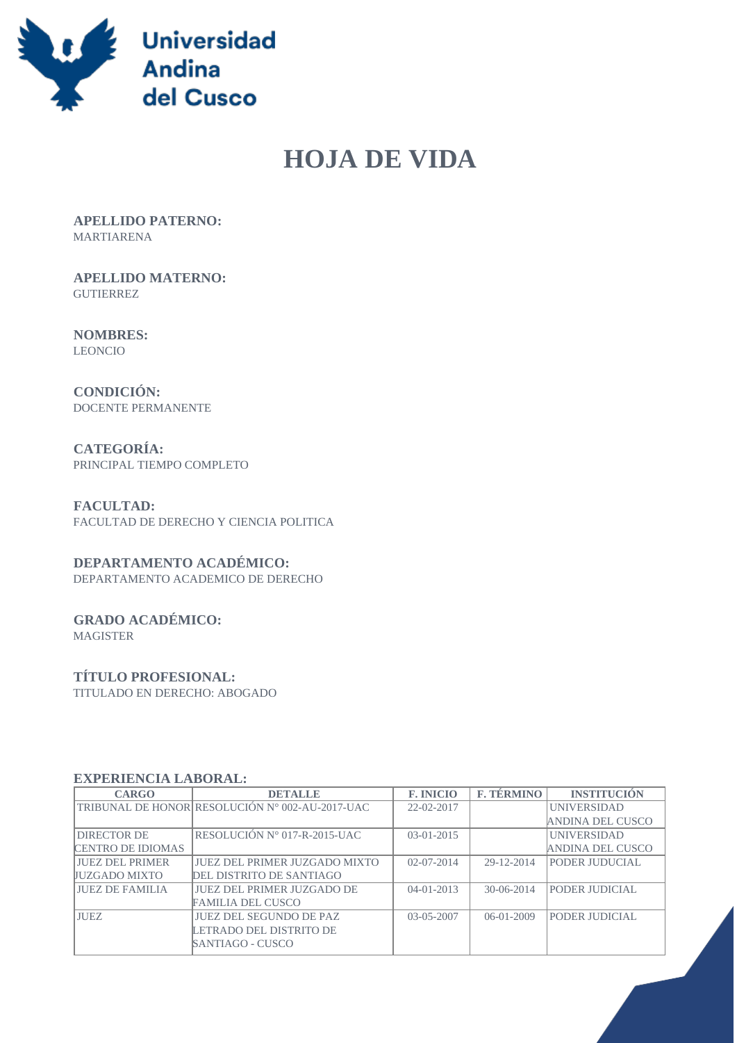

# **HOJA DE VIDA**

 **APELLIDO PATERNO:** MARTIARENA

 **APELLIDO MATERNO: GUTIERREZ** 

 **NOMBRES:** LEONCIO

 **CONDICIÓN:** DOCENTE PERMANENTE

 **CATEGORÍA:** PRINCIPAL TIEMPO COMPLETO

 **FACULTAD:** FACULTAD DE DERECHO Y CIENCIA POLITICA

## **DEPARTAMENTO ACADÉMICO:**

DEPARTAMENTO ACADEMICO DE DERECHO

# **GRADO ACADÉMICO:**

MAGISTER

## **TÍTULO PROFESIONAL:**

TITULADO EN DERECHO: ABOGADO

#### **EXPERIENCIA LABORAL:**

| <b>CARGO</b>             | <b>DETALLE</b>                                  | <b>F. INICIO</b> | <b>F. TÉRMINO</b> | <b>INSTITUCIÓN</b> |
|--------------------------|-------------------------------------------------|------------------|-------------------|--------------------|
|                          | TRIBUNAL DE HONOR RESOLUCIÓN Nº 002-AU-2017-UAC | 22-02-2017       |                   | <b>UNIVERSIDAD</b> |
|                          |                                                 |                  |                   | ANDINA DEL CUSCO   |
| <b>DIRECTOR DE</b>       | RESOLUCIÓN Nº 017-R-2015-UAC                    | $03-01-2015$     |                   | <b>UNIVERSIDAD</b> |
| <b>CENTRO DE IDIOMAS</b> |                                                 |                  |                   | ANDINA DEL CUSCO   |
| <b>JUEZ DEL PRIMER</b>   | <b>JUEZ DEL PRIMER JUZGADO MIXTO</b>            | $02 - 07 - 2014$ | 29-12-2014        | PODER JUDUCIAL     |
| <b>JUZGADO MIXTO</b>     | DEL DISTRITO DE SANTIAGO                        |                  |                   |                    |
| <b>JUEZ DE FAMILIA</b>   | <b>JUEZ DEL PRIMER JUZGADO DE</b>               | $04 - 01 - 2013$ | $30-06-2014$      | PODER JUDICIAL     |
|                          | <b>FAMILIA DEL CUSCO</b>                        |                  |                   |                    |
| <b>JUEZ</b>              | <b>JUEZ DEL SEGUNDO DE PAZ</b>                  | $03 - 05 - 2007$ | $06-01-2009$      | PODER JUDICIAL     |
|                          | LETRADO DEL DISTRITO DE                         |                  |                   |                    |
|                          | SANTIAGO - CUSCO                                |                  |                   |                    |
|                          |                                                 |                  |                   |                    |